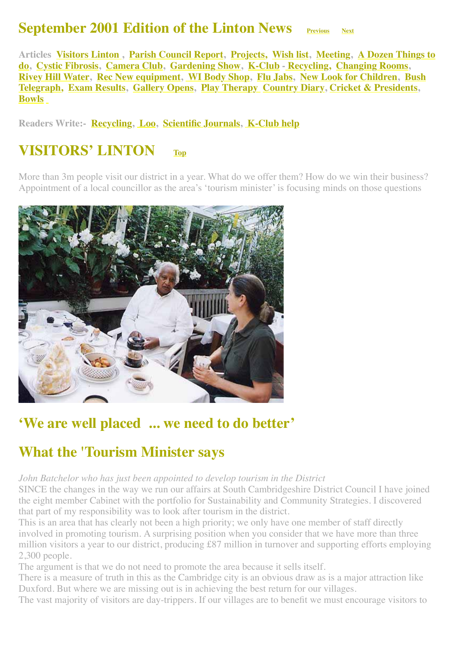## **September 2001 Edition of the Linton News [Previous](http://www.linton.info/lintonnews/0108.html)** [Next](http://www.linton.info/lintonnews/0110.html)

<span id="page-0-0"></span>**[Articles Visitors Linton , Parish Council Report, Projects, Wish list, Meeting, A Dozen Things to](#page-3-1) do, [Cystic Fibrosis,](#page-3-2) [Camera Club,](#page-4-0) [Gardening Show](#page-6-0), [K-Club](#page-6-1) - [Recycling,](#page-7-0) [Changing Rooms](#page-8-0), [Rivey Hill Water](#page-8-1)[,](#page-11-0) [R](#page-9-0)[e](#page-11-0)[c New equipment](#page-9-0)[,](#page-11-0) [WI Body Shop](#page-10-0)[, F](#page-11-0)[lu Jab](#page-10-1)[s, N](#page-11-0)[ew Look for Children](#page-10-2)[, Bush](#page-11-0) Telegr[a](http://www.linton.info/lintonnews/0109.html#WALKS%20BOOKLET)ph, [Exam Results](#page-11-1), [Gallery Opens,](#page-11-2) [Play Therapy](#page-12-0) [Country Diary,](#page-12-1) [Cricket & Presidents](http://www.linton.info/lintonnews/0109.html#president%E2%80%99s%20Men), [Bowls](#page-13-0)**

**Readers Write:- [Recycling](#page-4-1), [Loo](#page-4-2), [Scientific Journals,](#page-5-0) [K-Club help](#page-5-1)**

### **VISITORS' LINTON [Top](#page-0-0)**

More than 3m people visit our district in a year. What do we offer them? How do we win their business? Appointment of a local councillor as the area's 'tourism minister' is focusing minds on those questions



## **'We are well placed ... we need to do better'**

### **What the 'Tourism Minister says**

*John Batchelor who has just been appointed to develop tourism in the District*

SINCE the changes in the way we run our affairs at South Cambridgeshire District Council I have joined the eight member Cabinet with the portfolio for Sustainability and Community Strategies. I discovered that part of my responsibility was to look after tourism in the district.

This is an area that has clearly not been a high priority; we only have one member of staff directly involved in promoting tourism. A surprising position when you consider that we have more than three million visitors a year to our district, producing £87 million in turnover and supporting efforts employing 2,300 people.

The argument is that we do not need to promote the area because it sells itself.

There is a measure of truth in this as the Cambridge city is an obvious draw as is a major attraction like Duxford. But where we are missing out is in achieving the best return for our villages.

The vast majority of visitors are day-trippers. If our villages are to benefit we must encourage visitors to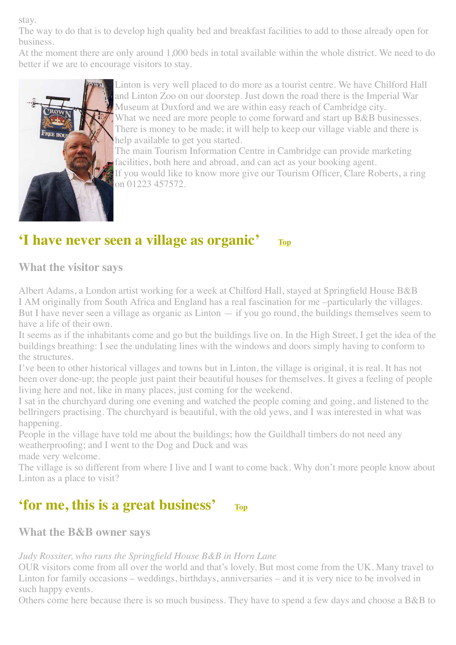stay.

The way to do that is to develop high quality bed and breakfast facilities to add to those already open for business.

At the moment there are only around 1,000 beds in total available within the whole district. We need to do better if we are to encourage visitors to stay.



Linton is very well placed to do more as a tourist centre. We have Chilford Hall and Linton Zoo on our doorstep. Just down the road there is the Imperial War Museum at Duxford and we are within easy reach of Cambridge city. What we need are more people to come forward and start up B&B businesses. There is money to be made; it will help to keep our village viable and there is help available to get you started.

The main Tourism Information Centre in Cambridge can provide marketing facilities, both here and abroad, and can act as your booking agent.

If you would like to know more give our Tourism Officer, Clare Roberts, a ring on 01223 457572.

# **'I have never seen a village as organic' [Top](#page-0-0)**

**What the visitor says**

Albert Adams, a London artist working for a week at Chilford Hall, stayed at Springfield House B&B I AM originally from South Africa and England has a real fascination for me –particularly the villages. But I have never seen a village as organic as Linton — if you go round, the buildings themselves seem to have a life of their own.

It seems as if the inhabitants come and go but the buildings live on. In the High Street, I get the idea of the buildings breathing: I see the undulating lines with the windows and doors simply having to conform to the structures.

I've been to other historical villages and towns but in Linton, the village is original, it is real. It has not been over done-up; the people just paint their beautiful houses for themselves. It gives a feeling of people living here and not, like in many places, just coming for the weekend.

I sat in the churchyard during one evening and watched the people coming and going, and listened to the bellringers practising. The churchyard is beautiful, with the old yews, and I was interested in what was happening.

People in the village have told me about the buildings; how the Guildhall timbers do not need any weatherproofing; and I went to the Dog and Duck and was made very welcome.

The village is so different from where I live and I want to come back. Why don't more people know about Linton as a place to visit?

## **'for me, this is a great business' [Top](#page-0-0)**

**What the B&B owner says**

### *Judy Rossiter, who runs the Springfield House B&B in Horn Lane*

OUR visitors come from all over the world and that's lovely. But most come from the UK. Many travel to Linton for family occasions – weddings, birthdays, anniversaries – and it is very nice to be involved in such happy events.

Others come here because there is so much business. They have to spend a few days and choose a B&B to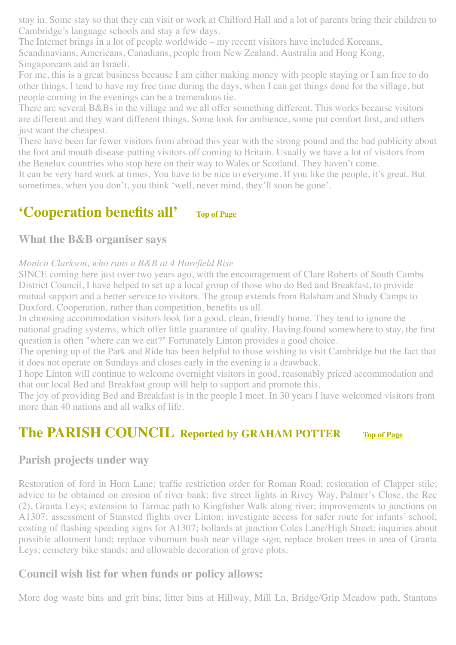stay in. Some stay so that they can visit or work at Chilford Hall and a lot of parents bring their children to Cambridge's language schools and stay a few days.

The Internet brings in a lot of people worldwide – my recent visitors have included Koreans, Scandinavians, Americans, Canadians, people from New Zealand, Australia and Hong Kong, Singaporeans and an Israeli.

For me, this is a great business because I am either making money with people staying or I am free to do other things. I tend to have my free time during the days, when I can get things done for the village, but people coming in the evenings can be a tremendous tie.

There are several B&Bs in the village and we all offer something different. This works because visitors are different and they want different things. Some look for ambience, some put comfort first, and others just want the cheapest.

There have been far fewer visitors from abroad this year with the strong pound and the bad publicity about the foot and mouth disease-putting visitors off coming to Britain. Usually we have a lot of visitors from the Benelux countries who stop here on their way to Wales or Scotland. They haven't come.

It can be very hard work at times. You have to be nice to everyone. If you like the people, it's great. But sometimes, when you don't, you think 'well, never mind, they'll soon be gone'.

# **'Cooperation benefits all' [Top of Page](#page-0-0)**

### **What the B&B organiser says**

#### *Monica Clarkson, who runs a B&B at 4 Harefield Rise*

SINCE coming here just over two years ago, with the encouragement of Clare Roberts of South Cambs District Council, I have helped to set up a local group of those who do Bed and Breakfast, to provide mutual support and a better service to visitors. The group extends from Balsham and Shudy Camps to Duxford. Cooperation, rather than competition, benefits us all.

In choosing accommodation visitors look for a good, clean, friendly home. They tend to ignore the national grading systems, which offer little guarantee of quality. Having found somewhere to stay, the first question is often "where can we eat?" Fortunately Linton provides a good choice.

The opening up of the Park and Ride has been helpful to those wishing to visit Cambridge but the fact that it does not operate on Sundays and closes early in the evening is a drawback.

I hope Linton will continue to welcome overnight visitors in good, reasonably priced accommodation and that our local Bed and Breakfast group will help to support and promote this.

The joy of providing Bed and Breakfast is in the people I meet. In 30 years I have welcomed visitors from more than 40 nations and all walks of life.

### <span id="page-2-0"></span>**The PARISH COUNCIL Reported by GRAHAM POTTER [Top of Page](#page-0-0)**

### <span id="page-2-1"></span>**Parish projects under way**

Restoration of ford in Horn Lane; traffic restriction order for Roman Road; restoration of Clapper stile; advice to be obtained on erosion of river bank; five street lights in Rivey Way, Palmer's Close, the Rec (2), Granta Leys; extension to Tarmac path to Kingfisher Walk along river; improvements to junctions on A1307; assessment of Stansted flights over Linton; investigate access for safer route for infants' school; costing of flashing speeding signs for A1307; bollards at junction Coles Lane/High Street; inquiries about possible allotment land; replace viburnum bush near village sign; replace broken trees in area of Granta Leys; cemetery bike stands; and allowable decoration of grave plots.

### <span id="page-2-2"></span>**Council wish list for when funds or policy allows:**

More dog waste bins and grit bins; litter bins at Hillway, Mill Ln, Bridge/Grip Meadow path, Stantons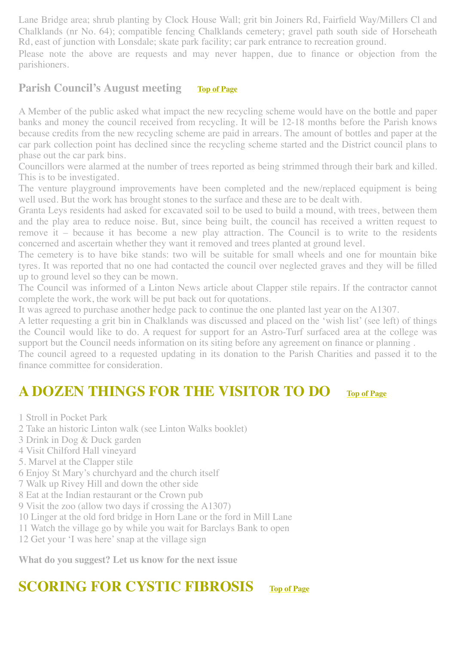Lane Bridge area; shrub planting by Clock House Wall; grit bin Joiners Rd, Fairfield Way/Millers Cl and Chalklands (nr No. 64); compatible fencing Chalklands cemetery; gravel path south side of Horseheath Rd, east of junction with Lonsdale; skate park facility; car park entrance to recreation ground.

Please note the above are requests and may never happen, due to finance or objection from the parishioners.

### <span id="page-3-0"></span>**Parish Council's August meeting [Top of Page](#page-0-0)**

A Member of the public asked what impact the new recycling scheme would have on the bottle and paper banks and money the council received from recycling. It will be 12-18 months before the Parish knows because credits from the new recycling scheme are paid in arrears. The amount of bottles and paper at the car park collection point has declined since the recycling scheme started and the District council plans to phase out the car park bins.

Councillors were alarmed at the number of trees reported as being strimmed through their bark and killed. This is to be investigated.

The venture playground improvements have been completed and the new/replaced equipment is being well used. But the work has brought stones to the surface and these are to be dealt with.

Granta Leys residents had asked for excavated soil to be used to build a mound, with trees, between them and the play area to reduce noise. But, since being built, the council has received a written request to remove it – because it has become a new play attraction. The Council is to write to the residents concerned and ascertain whether they want it removed and trees planted at ground level.

The cemetery is to have bike stands: two will be suitable for small wheels and one for mountain bike tyres. It was reported that no one had contacted the council over neglected graves and they will be filled up to ground level so they can be mown.

The Council was informed of a Linton News article about Clapper stile repairs. If the contractor cannot complete the work, the work will be put back out for quotations.

It was agreed to purchase another hedge pack to continue the one planted last year on the A1307.

A letter requesting a grit bin in Chalklands was discussed and placed on the 'wish list' (see left) of things the Council would like to do. A request for support for an Astro-Turf surfaced area at the college was support but the Council needs information on its siting before any agreement on finance or planning .

The council agreed to a requested updating in its donation to the Parish Charities and passed it to the finance committee for consideration.

## <span id="page-3-1"></span>**A DOZEN THINGS FOR THE VISITOR TO DO [Top of Page](#page-0-0)**

- 1 Stroll in Pocket Park
- 2 Take an historic Linton walk (see Linton Walks booklet)
- 3 Drink in Dog & Duck garden
- 4 Visit Chilford Hall vineyard
- 5. Marvel at the Clapper stile
- 6 Enjoy St Mary's churchyard and the church itself
- 7 Walk up Rivey Hill and down the other side
- 8 Eat at the Indian restaurant or the Crown pub
- 9 Visit the zoo (allow two days if crossing the A1307)
- 10 Linger at the old ford bridge in Horn Lane or the ford in Mill Lane
- 11 Watch the village go by while you wait for Barclays Bank to open
- 12 Get your 'I was here' snap at the village sign

**What do you suggest? Let us know for the next issue**

# <span id="page-3-2"></span>**SCORING FOR CYSTIC FIBROSIS [Top of Page](#page-0-0)**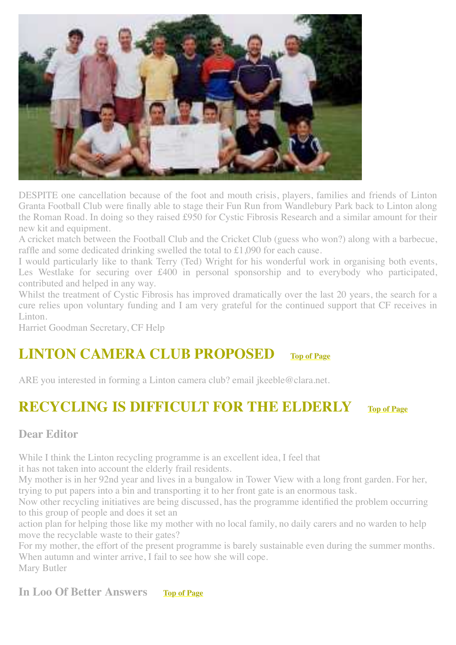

DESPITE one cancellation because of the foot and mouth crisis, players, families and friends of Linton Granta Football Club were finally able to stage their Fun Run from Wandlebury Park back to Linton along the Roman Road. In doing so they raised £950 for Cystic Fibrosis Research and a similar amount for their new kit and equipment.

A cricket match between the Football Club and the Cricket Club (guess who won?) along with a barbecue, raffle and some dedicated drinking swelled the total to £1,090 for each cause.

I would particularly like to thank Terry (Ted) Wright for his wonderful work in organising both events, Les Westlake for securing over £400 in personal sponsorship and to everybody who participated, contributed and helped in any way.

Whilst the treatment of Cystic Fibrosis has improved dramatically over the last 20 years, the search for a cure relies upon voluntary funding and I am very grateful for the continued support that CF receives in Linton.

Harriet Goodman Secretary, CF Help

### <span id="page-4-0"></span>**LINTON CAMERA CLUB PROPOSED [Top of Page](#page-0-0)**

ARE you interested in forming a Linton camera club? email jkeeble@clara.net.

## <span id="page-4-1"></span>**RECYCLING IS DIFFICULT FOR THE ELDERLY [Top of Page](#page-0-0)**

### **Dear Editor**

While I think the Linton recycling programme is an excellent idea, I feel that

it has not taken into account the elderly frail residents.

My mother is in her 92nd year and lives in a bungalow in Tower View with a long front garden. For her, trying to put papers into a bin and transporting it to her front gate is an enormous task.

Now other recycling initiatives are being discussed, has the programme identified the problem occurring to this group of people and does it set an

action plan for helping those like my mother with no local family, no daily carers and no warden to help move the recyclable waste to their gates?

For my mother, the effort of the present programme is barely sustainable even during the summer months. When autumn and winter arrive, I fail to see how she will cope. Mary Butler

### <span id="page-4-2"></span>**In Loo Of Better Answers [Top of Page](#page-0-0)**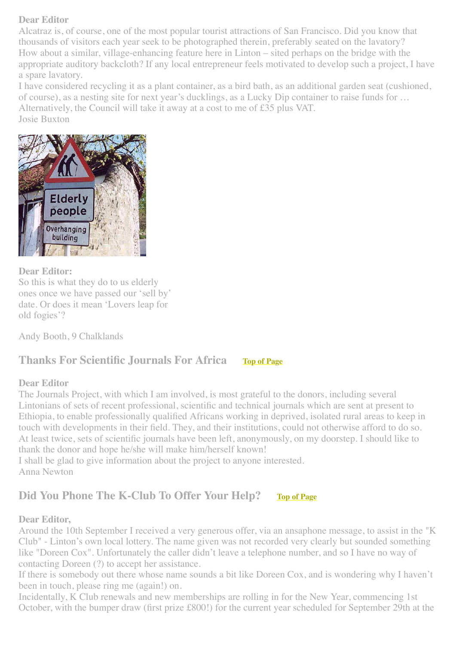#### **Dear Editor**

Alcatraz is, of course, one of the most popular tourist attractions of San Francisco. Did you know that thousands of visitors each year seek to be photographed therein, preferably seated on the lavatory? How about a similar, village-enhancing feature here in Linton – sited perhaps on the bridge with the appropriate auditory backcloth? If any local entrepreneur feels motivated to develop such a project, I have a spare lavatory.

I have considered recycling it as a plant container, as a bird bath, as an additional garden seat (cushioned, of course), as a nesting site for next year's ducklings, as a Lucky Dip container to raise funds for … Alternatively, the Council will take it away at a cost to me of £35 plus VAT. Josie Buxton



#### **Dear Editor:**

So this is what they do to us elderly ones once we have passed our 'sell by' date. Or does it mean 'Lovers leap for old fogies'?

Andy Booth, 9 Chalklands

### <span id="page-5-0"></span>**Thanks For Scientific Journals For Africa [Top of Page](#page-0-0)**

#### **Dear Editor**

The Journals Project, with which I am involved, is most grateful to the donors, including several Lintonians of sets of recent professional, scientific and technical journals which are sent at present to Ethiopia, to enable professionally qualified Africans working in deprived, isolated rural areas to keep in touch with developments in their field. They, and their institutions, could not otherwise afford to do so. At least twice, sets of scientific journals have been left, anonymously, on my doorstep. I should like to thank the donor and hope he/she will make him/herself known!

I shall be glad to give information about the project to anyone interested. Anna Newton

### <span id="page-5-1"></span>**Did You Phone The K-Club To Offer Your Help? [Top of Page](#page-0-0)**

#### **Dear Editor,**

Around the 10th September I received a very generous offer, via an ansaphone message, to assist in the "K Club" - Linton's own local lottery. The name given was not recorded very clearly but sounded something like "Doreen Cox". Unfortunately the caller didn't leave a telephone number, and so I have no way of contacting Doreen (?) to accept her assistance.

If there is somebody out there whose name sounds a bit like Doreen Cox, and is wondering why I haven't been in touch, please ring me (again!) on.

Incidentally, K Club renewals and new memberships are rolling in for the New Year, commencing 1st October, with the bumper draw (first prize £800!) for the current year scheduled for September 29th at the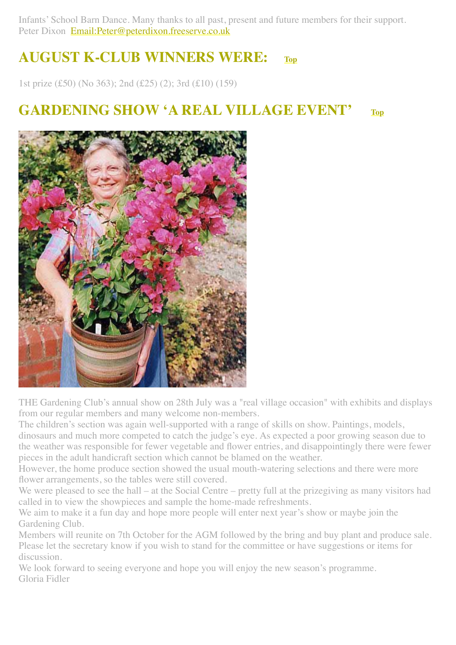Infants' School Barn Dance. Many thanks to all past, present and future members for their support. Peter Dixon [Email:Peter@peterdixon.freeserve.co.uk](mailto:Email:Peter@peterdixon.freeserve.co.uk)

# <span id="page-6-1"></span>**AUGUST K-CLUB WINNERS WERE: [Top](#page-0-0)**

1st prize (£50) (No 363); 2nd (£25) (2); 3rd (£10) (159)

## <span id="page-6-0"></span>**GARDENING SHOW 'A REAL VILLAGE EVENT' [Top](#page-0-0)**



THE Gardening Club's annual show on 28th July was a "real village occasion" with exhibits and displays from our regular members and many welcome non-members.

The children's section was again well-supported with a range of skills on show. Paintings, models, dinosaurs and much more competed to catch the judge's eye. As expected a poor growing season due to the weather was responsible for fewer vegetable and flower entries, and disappointingly there were fewer pieces in the adult handicraft section which cannot be blamed on the weather.

However, the home produce section showed the usual mouth-watering selections and there were more flower arrangements, so the tables were still covered.

We were pleased to see the hall – at the Social Centre – pretty full at the prizegiving as many visitors had called in to view the showpieces and sample the home-made refreshments.

We aim to make it a fun day and hope more people will enter next year's show or maybe join the Gardening Club.

Members will reunite on 7th October for the AGM followed by the bring and buy plant and produce sale. Please let the secretary know if you wish to stand for the committee or have suggestions or items for discussion.

We look forward to seeing everyone and hope you will enjoy the new season's programme. Gloria Fidler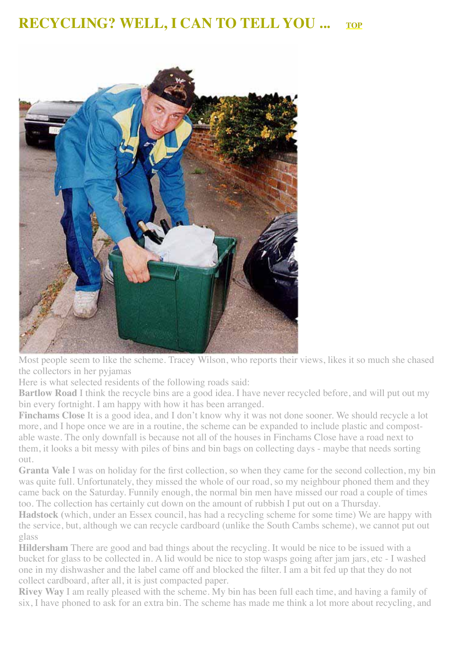## <span id="page-7-0"></span>**RECYCLING? WELL, I CAN TO TELL YOU ...** [TOP](#page-0-0)



Most people seem to like the scheme. Tracey Wilson, who reports their views, likes it so much she chased the collectors in her pyjamas

Here is what selected residents of the following roads said:

**Bartlow Road** I think the recycle bins are a good idea. I have never recycled before, and will put out my bin every fortnight. I am happy with how it has been arranged.

**Finchams Close** It is a good idea, and I don't know why it was not done sooner. We should recycle a lot more, and I hope once we are in a routine, the scheme can be expanded to include plastic and compostable waste. The only downfall is because not all of the houses in Finchams Close have a road next to them, it looks a bit messy with piles of bins and bin bags on collecting days - maybe that needs sorting out.

**Granta Vale** I was on holiday for the first collection, so when they came for the second collection, my bin was quite full. Unfortunately, they missed the whole of our road, so my neighbour phoned them and they came back on the Saturday. Funnily enough, the normal bin men have missed our road a couple of times too. The collection has certainly cut down on the amount of rubbish I put out on a Thursday.

**Hadstock (**which, under an Essex council, has had a recycling scheme for some time) We are happy with the service, but, although we can recycle cardboard (unlike the South Cambs scheme), we cannot put out glass

**Hildersham** There are good and bad things about the recycling. It would be nice to be issued with a bucket for glass to be collected in. A lid would be nice to stop wasps going after jam jars, etc - I washed one in my dishwasher and the label came off and blocked the filter. I am a bit fed up that they do not collect cardboard, after all, it is just compacted paper.

**Rivey Way** I am really pleased with the scheme. My bin has been full each time, and having a family of six, I have phoned to ask for an extra bin. The scheme has made me think a lot more about recycling, and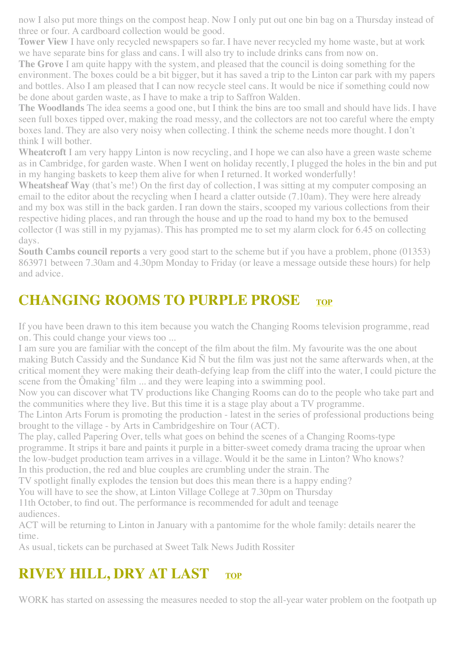now I also put more things on the compost heap. Now I only put out one bin bag on a Thursday instead of three or four. A cardboard collection would be good.

**Tower View** I have only recycled newspapers so far. I have never recycled my home waste, but at work we have separate bins for glass and cans. I will also try to include drinks cans from now on.

**The Grove** I am quite happy with the system, and pleased that the council is doing something for the environment. The boxes could be a bit bigger, but it has saved a trip to the Linton car park with my papers and bottles. Also I am pleased that I can now recycle steel cans. It would be nice if something could now be done about garden waste, as I have to make a trip to Saffron Walden.

**The Woodlands** The idea seems a good one, but I think the bins are too small and should have lids. I have seen full boxes tipped over, making the road messy, and the collectors are not too careful where the empty boxes land. They are also very noisy when collecting. I think the scheme needs more thought. I don't think I will bother.

**Wheatcroft** I am very happy Linton is now recycling, and I hope we can also have a green waste scheme as in Cambridge, for garden waste. When I went on holiday recently, I plugged the holes in the bin and put in my hanging baskets to keep them alive for when I returned. It worked wonderfully!

**Wheatsheaf Way** (that's me!) On the first day of collection, I was sitting at my computer composing an email to the editor about the recycling when I heard a clatter outside (7.10am). They were here already and my box was still in the back garden. I ran down the stairs, scooped my various collections from their respective hiding places, and ran through the house and up the road to hand my box to the bemused collector (I was still in my pyjamas). This has prompted me to set my alarm clock for 6.45 on collecting days.

**South Cambs council reports** a very good start to the scheme but if you have a problem, phone (01353) 863971 between 7.30am and 4.30pm Monday to Friday (or leave a message outside these hours) for help and advice.

# <span id="page-8-0"></span>**CHANGING ROOMS TO PURPLE PROSE** [TOP](#page-0-0)

If you have been drawn to this item because you watch the Changing Rooms television programme, read on. This could change your views too ...

I am sure you are familiar with the concept of the film about the film. My favourite was the one about making Butch Cassidy and the Sundance Kid Ñ but the film was just not the same afterwards when, at the critical moment they were making their death-defying leap from the cliff into the water, I could picture the scene from the Ômaking' film ... and they were leaping into a swimming pool.

Now you can discover what TV productions like Changing Rooms can do to the people who take part and the communities where they live. But this time it is a stage play about a TV programme.

The Linton Arts Forum is promoting the production - latest in the series of professional productions being brought to the village - by Arts in Cambridgeshire on Tour (ACT).

The play, called Papering Over, tells what goes on behind the scenes of a Changing Rooms-type

programme. It strips it bare and paints it purple in a bitter-sweet comedy drama tracing the uproar when the low-budget production team arrives in a village. Would it be the same in Linton? Who knows?

In this production, the red and blue couples are crumbling under the strain. The

TV spotlight finally explodes the tension but does this mean there is a happy ending?

You will have to see the show, at Linton Village College at 7.30pm on Thursday

11th October, to find out. The performance is recommended for adult and teenage audiences.

ACT will be returning to Linton in January with a pantomime for the whole family: details nearer the time.

As usual, tickets can be purchased at Sweet Talk News Judith Rossiter

# <span id="page-8-1"></span>**RIVEY HILL, DRY AT LAST** [TOP](#page-0-0)

WORK has started on assessing the measures needed to stop the all-year water problem on the footpath up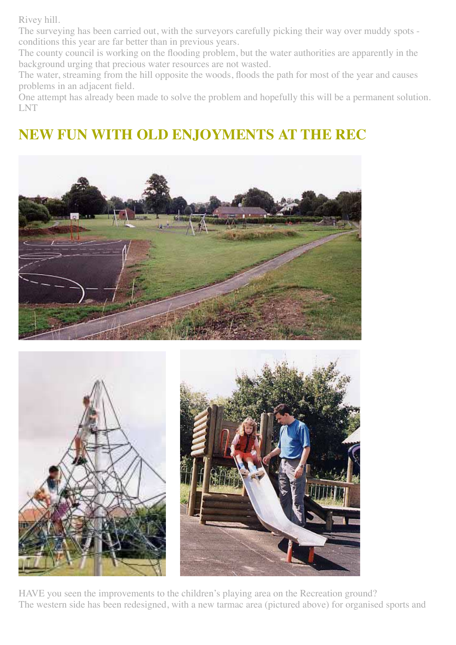Rivey hill.

The surveying has been carried out, with the surveyors carefully picking their way over muddy spots conditions this year are far better than in previous years.

The county council is working on the flooding problem, but the water authorities are apparently in the background urging that precious water resources are not wasted.

The water, streaming from the hill opposite the woods, floods the path for most of the year and causes problems in an adjacent field.

One attempt has already been made to solve the problem and hopefully this will be a permanent solution. LNT

# <span id="page-9-0"></span>**NEW FUN WITH OLD ENJOYMENTS AT THE REC**







HAVE you seen the improvements to the children's playing area on the Recreation ground? The western side has been redesigned, with a new tarmac area (pictured above) for organised sports and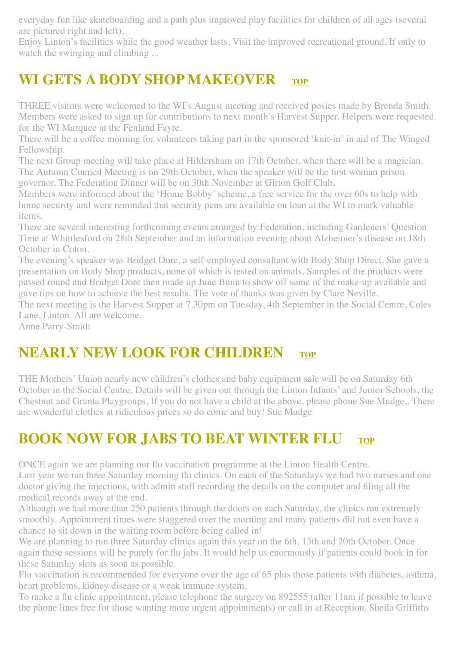everyday fun like skateboarding and a path plus improved play facilities for children of all ages (several are pictured right and left).

Enjoy Linton's facilities while the good weather lasts. Visit the improved recreational ground. If only to watch the swinging and climbing ...

# <span id="page-10-0"></span>**WI GETS A BODY SHOP MAKEOVER** [TOP](#page-0-0)

THREE visitors were welcomed to the WI's August meeting and received posies made by Brenda Smith. Members were asked to sign up for contributions to next month's Harvest Supper. Helpers were requested for the WI Marquee at the Fenland Fayre.

There will be a coffee morning for volunteers taking part in the sponsored 'knit-in' in aid of The Winged Fellowship.

The next Group meeting will take place at Hildersham on 17th October, when there will be a magician. The Autumn Council Meeting is on 29th October, when the speaker will be the first woman prison governor. The Federation Dinner will be on 30th November at Girton Golf Club.

Members were informed about the 'Home Bobby' scheme, a free service for the over 60s to help with home security and were reminded that security pens are available on loan at the WI to mark valuable items.

There are several interesting forthcoming events arranged by Federation, including Gardeners' Question Time at Whittlesford on 28th September and an information evening about Alzheimer's disease on 18th October in Coton.

The evening's speaker was Bridget Dore, a self-employed consultant with Body Shop Direct. She gave a presentation on Body Shop products, none of which is tested on animals. Samples of the products were passed round and Bridget Dore then made up June Bunn to show off some of the make-up available and gave tips on how to achieve the best results. The vote of thanks was given by Clare Neville.

The next meeting is the Harvest Supper at 7.30pm on Tuesday, 4th September in the Social Centre, Coles Lane, Linton. All are welcome.

Anne Parry-Smith

# <span id="page-10-2"></span>**NEARLY NEW LOOK FOR CHILDREN** [TOP](#page-0-0)

THE Mothers' Union nearly new children's clothes and baby equipment sale will be on Saturday 6th October in the Social Centre. Details will be given out through the Linton Infants' and Junior Schools, the Chestnut and Granta Playgroups. If you do not have a child at the above, please phone Sue Mudge,. There are wonderful clothes at ridiculous prices so do come and buy! Sue Mudge

# <span id="page-10-1"></span>**BOOK NOW FOR JABS TO BEAT WINTER FLU [TOP](#page-0-0)**

ONCE again we are planning our flu vaccination programme at the Linton Health Centre. Last year we ran three Saturday morning flu clinics. On each of the Saturdays we had two nurses and one doctor giving the injections, with admin staff recording the details on the computer and filing all the medical records away at the end.

Although we had more than 250 patients through the doors on each Saturday, the clinics ran extremely smoothly. Appointment times were staggered over the morning and many patients did not even have a chance to sit down in the waiting room before being called in!

We are planning to run three Saturday clinics again this year on the 6th, 13th and 20th October. Once again these sessions will be purely for flu jabs. It would help us enormously if patients could book in for these Saturday slots as soon as possible.

Flu vaccination is recommended for everyone over the age of 65 plus those patients with diabetes, asthma, heart problems, kidney disease or a weak immune system.

To make a flu clinic appointment, please telephone the surgery on 892555 (after 11am if possible to leave the phone lines free for those wanting more urgent appointments) or call in at Reception. Sheila Griffiths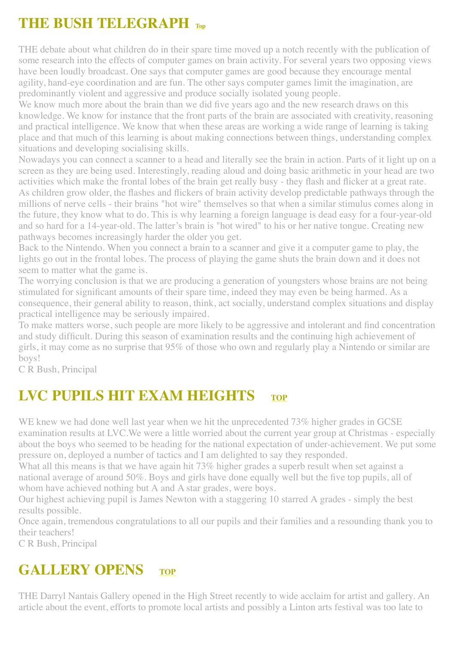# <span id="page-11-0"></span>**THE BUSH TELEGRAPH [Top](#page-0-0)**

THE debate about what children do in their spare time moved up a notch recently with the publication of some research into the effects of computer games on brain activity. For several years two opposing views have been loudly broadcast. One says that computer games are good because they encourage mental agility, hand-eye coordination and are fun. The other says computer games limit the imagination, are predominantly violent and aggressive and produce socially isolated young people.

We know much more about the brain than we did five years ago and the new research draws on this knowledge. We know for instance that the front parts of the brain are associated with creativity, reasoning and practical intelligence. We know that when these areas are working a wide range of learning is taking place and that much of this learning is about making connections between things, understanding complex situations and developing socialising skills.

Nowadays you can connect a scanner to a head and literally see the brain in action. Parts of it light up on a screen as they are being used. Interestingly, reading aloud and doing basic arithmetic in your head are two activities which make the frontal lobes of the brain get really busy - they flash and flicker at a great rate. As children grow older, the flashes and flickers of brain activity develop predictable pathways through the millions of nerve cells - their brains "hot wire" themselves so that when a similar stimulus comes along in the future, they know what to do. This is why learning a foreign language is dead easy for a four-year-old and so hard for a 14-year-old. The latter's brain is "hot wired" to his or her native tongue. Creating new pathways becomes increasingly harder the older you get.

Back to the Nintendo. When you connect a brain to a scanner and give it a computer game to play, the lights go out in the frontal lobes. The process of playing the game shuts the brain down and it does not seem to matter what the game is.

The worrying conclusion is that we are producing a generation of youngsters whose brains are not being stimulated for significant amounts of their spare time, indeed they may even be being harmed. As a consequence, their general ability to reason, think, act socially, understand complex situations and display practical intelligence may be seriously impaired.

To make matters worse, such people are more likely to be aggressive and intolerant and find concentration and study difficult. During this season of examination results and the continuing high achievement of girls, it may come as no surprise that 95% of those who own and regularly play a Nintendo or similar are boys!

C R Bush, Principal

# <span id="page-11-1"></span>**LVC PUPILS HIT EXAM HEIGHTS** [TOP](#page-0-0)

WE knew we had done well last year when we hit the unprecedented 73% higher grades in GCSE examination results at LVC.We were a little worried about the current year group at Christmas - especially about the boys who seemed to be heading for the national expectation of under-achievement. We put some pressure on, deployed a number of tactics and I am delighted to say they responded.

What all this means is that we have again hit 73% higher grades a superb result when set against a national average of around 50%. Boys and girls have done equally well but the five top pupils, all of whom have achieved nothing but A and A star grades, were boys.

Our highest achieving pupil is James Newton with a staggering 10 starred A grades - simply the best results possible.

Once again, tremendous congratulations to all our pupils and their families and a resounding thank you to their teachers!

C R Bush, Principal

## <span id="page-11-2"></span>**GALLERY OPENS [TOP](#page-0-0)**

THE Darryl Nantais Gallery opened in the High Street recently to wide acclaim for artist and gallery. An article about the event, efforts to promote local artists and possibly a Linton arts festival was too late to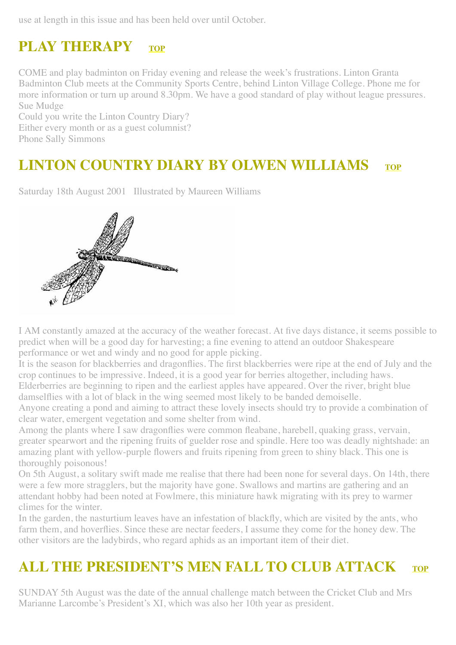use at length in this issue and has been held over until October.

# <span id="page-12-0"></span>**PLAY THERAPY [TOP](#page-0-0)**

COME and play badminton on Friday evening and release the week's frustrations. Linton Granta Badminton Club meets at the Community Sports Centre, behind Linton Village College. Phone me for more information or turn up around 8.30pm. We have a good standard of play without league pressures. Sue Mudge

Could you write the Linton Country Diary? Either every month or as a guest columnist? Phone Sally Simmons

# <span id="page-12-1"></span>**LINTON COUNTRY DIARY BY OLWEN WILLIAMS**

Saturday 18th August 2001 Illustrated by Maureen Williams



I AM constantly amazed at the accuracy of the weather forecast. At five days distance, it seems possible to predict when will be a good day for harvesting; a fine evening to attend an outdoor Shakespeare performance or wet and windy and no good for apple picking.

It is the season for blackberries and dragonflies. The first blackberries were ripe at the end of July and the crop continues to be impressive. Indeed, it is a good year for berries altogether, including haws. Elderberries are beginning to ripen and the earliest apples have appeared. Over the river, bright blue

damselflies with a lot of black in the wing seemed most likely to be banded demoiselle.

Anyone creating a pond and aiming to attract these lovely insects should try to provide a combination of clear water, emergent vegetation and some shelter from wind.

Among the plants where I saw dragonflies were common fleabane, harebell, quaking grass, vervain, greater spearwort and the ripening fruits of guelder rose and spindle. Here too was deadly nightshade: an amazing plant with yellow-purple flowers and fruits ripening from green to shiny black. This one is thoroughly poisonous!

On 5th August, a solitary swift made me realise that there had been none for several days. On 14th, there were a few more stragglers, but the majority have gone. Swallows and martins are gathering and an attendant hobby had been noted at Fowlmere, this miniature hawk migrating with its prey to warmer climes for the winter.

In the garden, the nasturtium leaves have an infestation of blackfly, which are visited by the ants, who farm them, and hoverflies. Since these are nectar feeders, I assume they come for the honey dew. The other visitors are the ladybirds, who regard aphids as an important item of their diet.

# **ALL THE PRESIDENT'S MEN FALL TO CLUB ATTACK [TOP](#page-0-0)**

SUNDAY 5th August was the date of the annual challenge match between the Cricket Club and Mrs Marianne Larcombe's President's XI, which was also her 10th year as president.